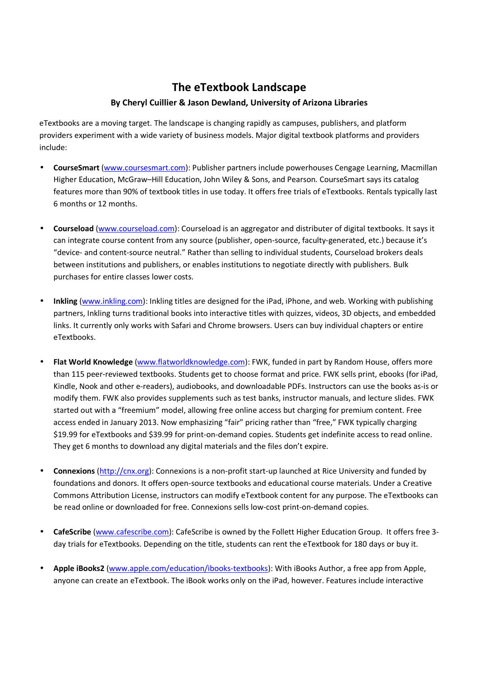## **The eTextbook Landscape**

## **By Cheryl Cuillier & Jason Dewland, University of Arizona Libraries**

eTextbooks are a moving target. The landscape is changing rapidly as campuses, publishers, and platform providers experiment with a wide variety of business models. Major digital textbook platforms and providers include:

- **CourseSmart** (www.coursesmart.com): Publisher partners include powerhouses Cengage Learning, Macmillan Higher Education, McGraw–Hill Education, John Wiley & Sons, and Pearson. CourseSmart says its catalog features more than 90% of textbook titles in use today. It offers free trials of eTextbooks. Rentals typically last 6 months or 12 months.
- **Courseload** (www.courseload.com): Courseload is an aggregator and distributer of digital textbooks. It says it can integrate course content from any source (publisher, open-source, faculty-generated, etc.) because it's "device- and content-source neutral." Rather than selling to individual students, Courseload brokers deals between institutions and publishers, or enables institutions to negotiate directly with publishers. Bulk purchases for entire classes lower costs.
- **Inkling** (www.inkling.com): Inkling titles are designed for the iPad, iPhone, and web. Working with publishing partners, Inkling turns traditional books into interactive titles with quizzes, videos, 3D objects, and embedded links. It currently only works with Safari and Chrome browsers. Users can buy individual chapters or entire eTextbooks.
- **Flat World Knowledge** (www.flatworldknowledge.com): FWK, funded in part by Random House, offers more than 115 peer-reviewed textbooks. Students get to choose format and price. FWK sells print, ebooks (for iPad, Kindle, Nook and other e-readers), audiobooks, and downloadable PDFs. Instructors can use the books as-is or modify them. FWK also provides supplements such as test banks, instructor manuals, and lecture slides. FWK started out with a "freemium" model, allowing free online access but charging for premium content. Free access ended in January 2013. Now emphasizing "fair" pricing rather than "free," FWK typically charging \$19.99 for eTextbooks and \$39.99 for print-on-demand copies. Students get indefinite access to read online. They get 6 months to download any digital materials and the files don't expire.
- **Connexions** (http://cnx.org): Connexions is a non-profit start-up launched at Rice University and funded by foundations and donors. It offers open-source textbooks and educational course materials. Under a Creative Commons Attribution License, instructors can modify eTextbook content for any purpose. The eTextbooks can be read online or downloaded for free. Connexions sells low-cost print-on-demand copies.
- **CafeScribe** (www.cafescribe.com): CafeScribe is owned by the Follett Higher Education Group. It offers free 3 day trials for eTextbooks. Depending on the title, students can rent the eTextbook for 180 days or buy it.
- **Apple iBooks2** (www.apple.com/education/ibooks-textbooks): With iBooks Author, a free app from Apple, anyone can create an eTextbook. The iBook works only on the iPad, however. Features include interactive